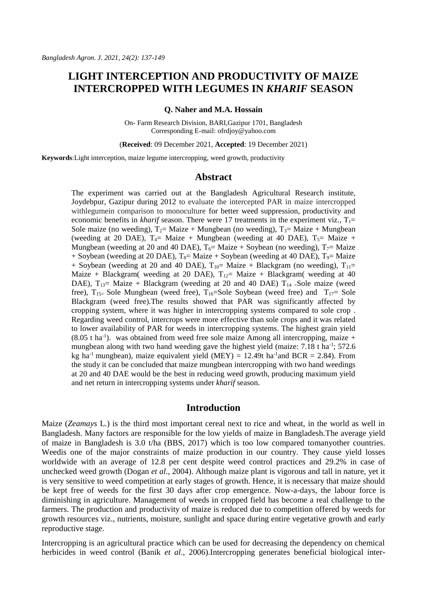# **LIGHT INTERCEPTION AND PRODUCTIVITY OF MAIZE INTERCROPPED WITH LEGUMES IN** *KHARIF* **SEASON**

#### **Q. Naher and M.A. Hossain**

On- Farm Research Division, BARI,Gazipur 1701, Bangladesh Corresponding E-mail[: ofrdjoy@yahoo.com](mailto:ofrdjoy@yahoo.com)

(**Received**: 09 December 2021, **Accepted**: 19 December 2021)

**Keywords**:Light interception, maize legume intercropping, weed growth, productivity

## **Abstract**

The experiment was carried out at the Bangladesh Agricultural Research institute, Joydebpur, Gazipur during 2012 to evaluate the intercepted PAR in maize intercropped withlegumein comparison to monoculture for better weed suppression, productivity and economic benefits in *kharif* season. There were 17 treatments in the experiment viz.,  $T_1 =$ Sole maize (no weeding),  $T_2$ = Maize + Mungbean (no weeding),  $T_3$ = Maize + Mungbean (weeding at 20 DAE),  $T_4$ = Maize + Mungbean (weeding at 40 DAE),  $T_5$ = Maize + Mungbean (weeding at 20 and 40 DAE),  $T_6$ = Maize + Soybean (no weeding),  $T_7$ = Maize + Soybean (weeding at 20 DAE),  $T_8$ = Maize + Soybean (weeding at 40 DAE),  $T_9$ = Maize + Soybean (weeding at 20 and 40 DAE),  $T_{10}$ = Maize + Blackgram (no weeding),  $T_{11}$ = Maize + Blackgram( weeding at 20 DAE),  $T_{12}$ = Maize + Blackgram( weeding at 40 DAE),  $T_{13}$  Maize + Blackgram (weeding at 20 and 40 DAE)  $T_{14}$  Sole maize (weed free),  $T_{15}$  Sole Mungbean (weed free),  $T_{16}$  Sole Soybean (weed free) and  $T_{17}$  Sole Blackgram (weed free).The results showed that PAR was significantly affected by cropping system, where it was higher in intercropping systems compared to sole crop . Regarding weed control, intercrops were more effective than sole crops and it was related to lower availability of PAR for weeds in intercropping systems. The highest grain yield  $(8.05 \text{ t} \text{ ha}^{-1})$ . was obtained from weed free sole maize Among all intercropping, maize + mungbean along with two hand weeding gave the highest yield (maize: 7.18 t ha<sup>-1</sup>; 572.6 kg ha<sup>-1</sup> mungbean), maize equivalent yield (MEY) = 12.49t ha<sup>-1</sup> and BCR = 2.84). From the study it can be concluded that maize mungbean intercropping with two hand weedings at 20 and 40 DAE would be the best in reducing weed growth, producing maximum yield and net return in intercropping systems under *kharif* season.

## **Introduction**

Maize (*Zeamays* L.) is the third most important cereal next to rice and wheat, in the world as well in Bangladesh. Many factors are responsible for the low yields of maize in Bangladesh.The average yield of maize in Bangladesh is 3.0 t/ha (BBS, 2017) which is too low compared tomanyother countries. Weedis one of the major constraints of maize production in our country. They cause yield losses worldwide with an average of 12.8 per cent despite weed control practices and 29.2% in case of unchecked weed growth (Dogan *et al*., 2004). Although maize plant is vigorous and tall in nature, yet it is very sensitive to weed competition at early stages of growth. Hence, it is necessary that maize should be kept free of weeds for the first 30 days after crop emergence. Now-a-days, the labour force is diminishing in agriculture. Management of weeds in cropped field has become a real challenge to the farmers. The production and productivity of maize is reduced due to competition offered by weeds for growth resources viz., nutrients, moisture, sunlight and space during entire vegetative growth and early reproductive stage.

Intercropping is an agricultural practice which can be used for decreasing the dependency on chemical herbicides in weed control (Banik *et al*., 2006).Intercropping generates beneficial biological inter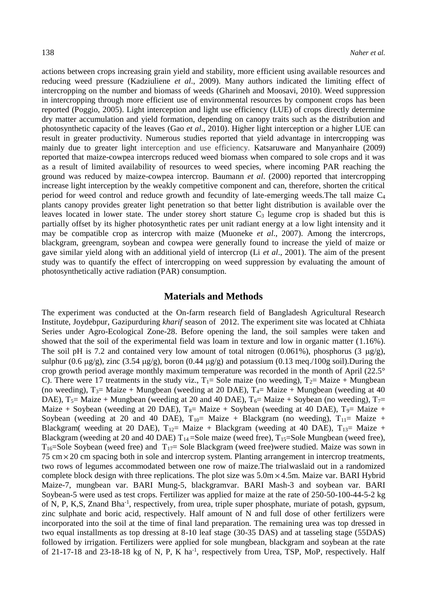actions between crops increasing grain yield and stability, more efficient using available resources and reducing weed pressure (Kadziuliene *et al*., 2009). Many authors indicated the limiting effect of intercropping on the number and biomass of weeds (Gharineh and Moosavi, 2010). Weed suppression in intercropping through more efficient use of environmental resources by component crops has been reported (Poggio, 2005). Light interception and light use efficiency (LUE) of crops directly determine dry matter accumulation and yield formation, depending on canopy traits such as the distribution and photosynthetic capacity of the leaves (Gao *et al*., 2010). Higher light interception or a higher LUE can result in greater productivity. Numerous studies reported that yield advantage in intercropping was mainly due to greater light interception and use efficiency. Katsaruware and Manyanhaire (2009) reported that maize-cowpea intercrops reduced weed biomass when compared to sole crops and it was as a result of limited availability of resources to weed species, where incoming PAR reaching the ground was reduced by maize-cowpea intercrop. Baumann *et al*. (2000) reported that intercropping increase light interception by the weakly competitive component and can, therefore, shorten the critical period for weed control and reduce growth and fecundity of late-emerging weeds.The tall maize C<sup>4</sup> plants canopy provides greater light penetration so that better light distribution is available over the leaves located in lower state. The under storey short stature  $C_3$  legume crop is shaded but this is partially offset by its higher photosynthetic rates per unit radiant energy at a low light intensity and it may be compatible crop as intercrop with maize (Muoneke *et al*., 2007). Among the intercrops, blackgram, greengram, soybean and cowpea were generally found to increase the yield of maize or gave similar yield along with an additional yield of intercrop (Li *et al*., 2001). The aim of the present study was to quantify the effect of intercropping on weed suppression by evaluating the amount of photosynthetically active radiation (PAR) consumption.

# **Materials and Methods**

The experiment was conducted at the On-farm research field of Bangladesh Agricultural Research Institute, Joydebpur, Gazipurduring *kharif* season of 2012. The experiment site was located at Chhiata Series under Agro-Ecological Zone-28. Before opening the land, the soil samples were taken and showed that the soil of the experimental field was loam in texture and low in organic matter (1.16%). The soil pH is 7.2 and contained very low amount of total nitrogen  $(0.061\%)$ , phosphorus  $(3 \text{ µg/g})$ , sulphur (0.6  $\mu$ g/g), zinc (3.54  $\mu$ g/g), boron (0.44  $\mu$ g/g) and potassium (0.13 meq./100g soil).During the crop growth period average monthly maximum temperature was recorded in the month of April (22.5° C). There were 17 treatments in the study viz.,  $T_1$ = Sole maize (no weeding),  $T_2$ = Maize + Mungbean (no weeding),  $T_3$ = Maize + Mungbean (weeding at 20 DAE),  $T_4$ = Maize + Mungbean (weeding at 40 DAE), T<sub>5</sub>= Maize + Mungbean (weeding at 20 and 40 DAE), T<sub>6</sub>= Maize + Soybean (no weeding), T<sub>7</sub>= Maize + Soybean (weeding at 20 DAE),  $T_8$ = Maize + Soybean (weeding at 40 DAE),  $T_9$ = Maize + Soybean (weeding at 20 and 40 DAE),  $T_{10}$ = Maize + Blackgram (no weeding),  $T_{11}$ = Maize + Blackgram( weeding at 20 DAE),  $T_{12}$ = Maize + Blackgram (weeding at 40 DAE),  $T_{13}$ = Maize + Blackgram (weeding at 20 and 40 DAE)  $T_{14}$ =Sole maize (weed free),  $T_{15}$ =Sole Mungbean (weed free),  $T_{16}$ =Sole Soybean (weed free) and  $T_{17}$ = Sole Blackgram (weed free)were studied. Maize was sown in 75 cm 20 cm spacing both in sole and intercrop system. Planting arrangement in intercrop treatments, two rows of legumes accommodated between one row of maize.The trialwaslaid out in a randomized complete block design with three replications. The plot size was 5.0m 4.5m. Maize var. BARI Hybrid Maize-7, mungbean var. BARI Mung-5, blackgramvar. BARI Mash-3 and soybean var. BARI Soybean-5 were used as test crops. Fertilizer was applied for maize at the rate of 250-50-100-44-5-2 kg of N, P, K,S, Znand Bha<sup>-1</sup>, respectively, from urea, triple super phosphate, muriate of potash, gypsum, zinc sulphate and boric acid, respectively. Half amount of N and full dose of other fertilizers were incorporated into the soil at the time of final land preparation. The remaining urea was top dressed in two equal installments as top dressing at 8-10 leaf stage (30-35 DAS) and at tasseling stage (55DAS) followed by irrigation. Fertilizers were applied for sole mungbean, blackgram and soybean at the rate of 21-17-18 and 23-18-18 kg of N, P, K ha<sup>-1</sup>, respectively from Urea, TSP, MoP, respectively. Half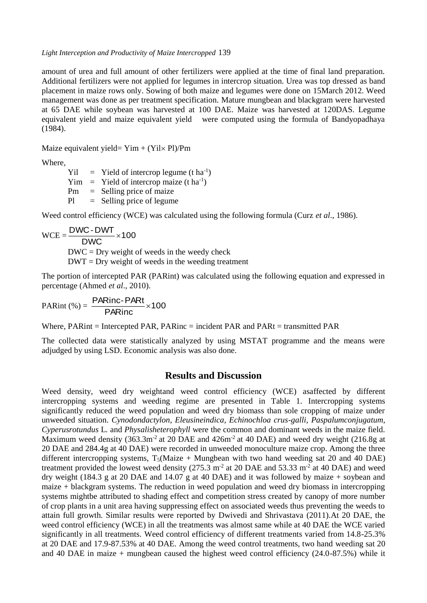*Light Interception and Productivity of Maize Intercropped* 139

amount of urea and full amount of other fertilizers were applied at the time of final land preparation. Additional fertilizers were not applied for legumes in intercrop situation. Urea was top dressed as band placement in maize rows only. Sowing of both maize and legumes were done on 15March 2012. Weed management was done as per treatment specification. Mature mungbean and blackgram were harvested at 65 DAE while soybean was harvested at 100 DAE. Maize was harvested at 120DAS. Legume equivalent yield and maize equivalent yield were computed using the formula of Bandyopadhaya (1984).

Maize equivalent yield=  $Yim + (Yil \times Pl)/Pm$ 

Where,

 $Yil = Yield of intercept legume (t ha<sup>-1</sup>)$  $Yim = Yield of$  intercrop maize (t ha<sup>-1</sup>) Pm = Selling price of maize  $Pl =$  Selling price of legume

Weed control efficiency (WCE) was calculated using the following formula (Curz *et al*., 1986).

$$
WCE = \frac{DWC - DWT}{DWC} \times 100
$$
  
DWC = Dry weight of weeds in the weedy check  
DWT = Dry weight of weeds in the weeding treatment

The portion of intercepted PAR (PARint) was calculated using the following equation and expressed in percentage (Ahmed *et al*., 2010).

PARint (%) =  $\frac{P_{\text{V}}}{P_{\text{R}}}\times 100$  $\frac{\text{PARinc-PARt}}{\text{PAPi}}$ 

Where, PARint = Intercepted PAR, PARinc = incident PAR and PARt = transmitted PAR

The collected data were statistically analyzed by using MSTAT programme and the means were adjudged by using LSD. Economic analysis was also done.

# **Results and Discussion**

Weed density, weed dry weightand weed control efficiency (WCE) asaffected by different intercropping systems and weeding regime are presented in Table 1. Intercropping systems significantly reduced the weed population and weed dry biomass than sole cropping of maize under unweeded situation. *Cynodondactylon, Eleusineindica, Echinochloa crus-galli, Paspalumconjugatum, Cyperusrotundus* L*.* and *Physalisheterophyll* were the common and dominant weeds in the maize field. Maximum weed density  $(363.3 \text{m}^2 \text{ at } 20 \text{ DAE} \text{ and } 426 \text{m}^2 \text{ at } 40 \text{ DAE})$  and weed dry weight  $(216.8 \text{g} \text{ at } 20 \text{ DAE} \text{ and } 26 \text{m}^2 \text{ at } 40 \text{ DAE})$ 20 DAE and 284.4g at 40 DAE) were recorded in unweeded monoculture maize crop. Among the three different intercropping systems,  $T_5$ (Maize + Mungbean with two hand weeding sat 20 and 40 DAE) treatment provided the lowest weed density  $(275.3 \text{ m}^2 \text{ at } 20 \text{ DAE} \text{ and } 53.33 \text{ m}^2 \text{ at } 40 \text{ DAE})$  and weed dry weight (184.3 g at 20 DAE and 14.07 g at 40 DAE) and it was followed by maize  $+$  soybean and maize + blackgram systems. The reduction in weed population and weed dry biomass in intercropping systems mightbe attributed to shading effect and competition stress created by canopy of more number of crop plants in a unit area having suppressing effect on associated weeds thus preventing the weeds to attain full growth. Similar results were reported by Dwivedi and Shrivastava (2011).At 20 DAE, the weed control efficiency (WCE) in all the treatments was almost same while at 40 DAE the WCE varied significantly in all treatments. Weed control efficiency of different treatments varied from 14.8-25.3% at 20 DAE and 17.9-87.53% at 40 DAE. Among the weed control treatments, two hand weeding sat 20 and 40 DAE in maize  $+$  mungbean caused the highest weed control efficiency (24.0-87.5%) while it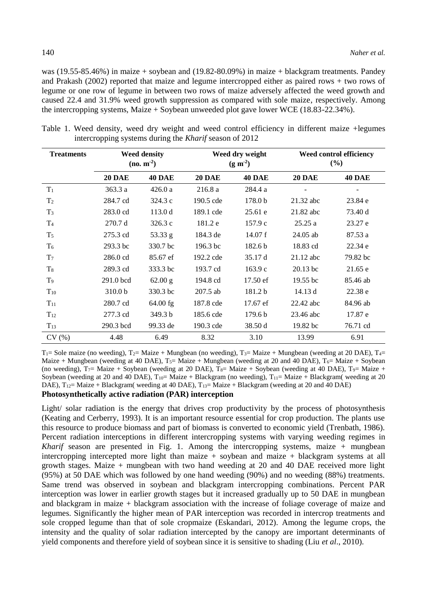was (19.55-85.46%) in maize + soybean and (19.82-80.09%) in maize + blackgram treatments. Pandey and Prakash (2002) reported that maize and legume intercropped either as paired rows + two rows of legume or one row of legume in between two rows of maize adversely affected the weed growth and caused 22.4 and 31.9% weed growth suppression as compared with sole maize, respectively. Among the intercropping systems, Maize + Soybean unweeded plot gave lower WCE (18.83-22.34%).

| <b>Treatments</b> | <b>Weed density</b><br>$(no. m-2)$ |               | Weed dry weight<br>$(g m-2)$ |                    | Weed control efficiency<br>(%) |                          |
|-------------------|------------------------------------|---------------|------------------------------|--------------------|--------------------------------|--------------------------|
|                   | <b>20 DAE</b>                      | <b>40 DAE</b> | <b>20 DAE</b>                | <b>40 DAE</b>      | <b>20 DAE</b>                  | <b>40 DAE</b>            |
| $T_1$             | 363.3a                             | 426.0a        | 216.8a                       | 284.4 a            |                                | $\overline{\phantom{a}}$ |
| T <sub>2</sub>    | 284.7 cd                           | 324.3c        | 190.5 cde                    | 178.0 <sub>b</sub> | 21.32 abc                      | 23.84 e                  |
| $T_3$             | 283.0 cd                           | 113.0d        | 189.1 cde                    | 25.61 e            | 21.82 abc                      | 73.40 d                  |
| T <sub>4</sub>    | 270.7 d                            | 326.3c        | 181.2 e                      | 157.9c             | 25.25a                         | 23.27 e                  |
| $T_5$             | 275.3 cd                           | 53.33 g       | 184.3 de                     | 14.07 f            | $24.05$ ab                     | 87.53 a                  |
| T <sub>6</sub>    | 293.3 bc                           | 330.7 bc      | 196.3 <sub>bc</sub>          | 182.6 <sub>b</sub> | 18.83 cd                       | 22.34 e                  |
| T <sub>7</sub>    | 286.0 cd                           | 85.67 ef      | 192.2 cde                    | 35.17 d            | $21.12$ abc                    | 79.82 bc                 |
| $T_{8}$           | 289.3 cd                           | 333.3 bc      | 193.7 cd                     | 163.9c             | $20.13$ bc                     | 21.65 e                  |
| T <sub>9</sub>    | 291.0 bcd                          | 62.00 g       | 194.8 cd                     | 17.50 ef           | 19.55 <sub>bc</sub>            | 85.46 ab                 |
| $T_{10}$          | 310.0 <sub>b</sub>                 | 330.3 bc      | $207.5$ ab                   | 181.2 b            | 14.13 d                        | 22.38 e                  |
| $T_{11}$          | 280.7 cd                           | $64.00$ fg    | 187.8 cde                    | 17.67 ef           | 22.42 abc                      | 84.96 ab                 |
| $T_{12}$          | 277.3 cd                           | 349.3 b       | 185.6 cde                    | 179.6 <sub>b</sub> | 23.46 abc                      | 17.87 e                  |
| $T_{13}$          | 290.3 bcd                          | 99.33 de      | 190.3 cde                    | 38.50 d            | 19.82 bc                       | 76.71 cd                 |
| CV(%)             | 4.48                               | 6.49          | 8.32                         | 3.10               | 13.99                          | 6.91                     |

Table 1. Weed density, weed dry weight and weed control efficiency in different maize +legumes intercropping systems during the *Kharif* season of 2012

 $T_1$ = Sole maize (no weeding),  $T_2$ = Maize + Mungbean (no weeding),  $T_3$ = Maize + Mungbean (weeding at 20 DAE),  $T_4$ = Maize + Mungbean (weeding at 40 DAE),  $T_5$ = Maize + Mungbean (weeding at 20 and 40 DAE),  $T_6$ = Maize + Soybean (no weeding),  $T_7$ = Maize + Soybean (weeding at 20 DAE),  $T_8$ = Maize + Soybean (weeding at 40 DAE),  $T_9$ = Maize + Soybean (weeding at 20 and 40 DAE),  $T_{10}$  Maize + Blackgram (no weeding),  $T_{11}$  Maize + Blackgram( weeding at 20 DAE),  $T_{12}$ = Maize + Blackgram( weeding at 40 DAE),  $T_{13}$ = Maize + Blackgram (weeding at 20 and 40 DAE)

## **Photosynthetically active radiation (PAR) interception**

Light/ solar radiation is the energy that drives crop productivity by the process of photosynthesis (Keating and Cerberry, 1993). It is an important resource essential for crop production. The plants use this resource to produce biomass and part of biomass is converted to economic yield (Trenbath, 1986). Percent radiation interceptions in different intercropping systems with varying weeding regimes in *Kharif* season are presented in Fig. 1. Among the intercropping systems, maize + mungbean intercropping intercepted more light than maize + soybean and maize + blackgram systems at all growth stages. Maize + mungbean with two hand weeding at 20 and 40 DAE received more light (95%) at 50 DAE which was followed by one hand weeding (90%) and no weeding (88%) treatments. Same trend was observed in soybean and blackgram intercropping combinations. Percent PAR interception was lower in earlier growth stages but it increased gradually up to 50 DAE in mungbean and blackgram in maize + blackgram association with the increase of foliage coverage of maize and legumes. Significantly the higher mean of PAR interception was recorded in intercrop treatments and sole cropped legume than that of sole cropmaize (Eskandari, 2012). Among the legume crops, the intensity and the quality of solar radiation intercepted by the canopy are important determinants of yield components and therefore yield of soybean since it is sensitive to shading (Liu *et al*., 2010).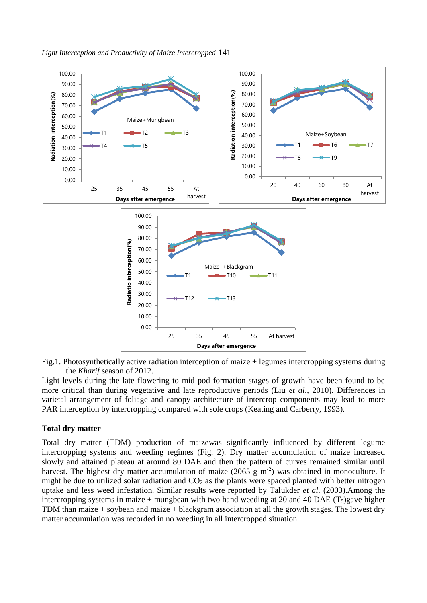



Fig.1. Photosynthetically active radiation interception of maize + legumes intercropping systems during the *Kharif* season of 2012.

Light levels during the late flowering to mid pod formation stages of growth have been found to be more critical than during vegetative and late reproductive periods (Liu *et al*., 2010). Differences in varietal arrangement of foliage and canopy architecture of intercrop components may lead to more PAR interception by intercropping compared with sole crops (Keating and Carberry, 1993).

#### **Total dry matter**

Total dry matter (TDM) production of maizewas significantly influenced by different legume intercropping systems and weeding regimes (Fig. 2). Dry matter accumulation of maize increased slowly and attained plateau at around 80 DAE and then the pattern of curves remained similar until harvest. The highest dry matter accumulation of maize (2065 g  $m<sup>2</sup>$ ) was obtained in monoculture. It might be due to utilized solar radiation and  $CO<sub>2</sub>$  as the plants were spaced planted with better nitrogen uptake and less weed infestation. Similar results were reported by Talukder *et al*. (2003).Among the intercropping systems in maize + mungbean with two hand weeding at 20 and 40 DAE ( $T_5$ )gave higher TDM than maize + soybean and maize + blackgram association at all the growth stages. The lowest dry matter accumulation was recorded in no weeding in all intercropped situation.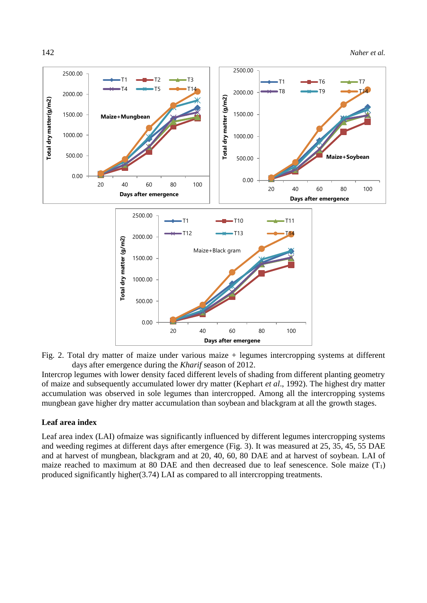

Fig. 2. Total dry matter of maize under various maize + legumes intercropping systems at different days after emergence during the *Kharif* season of 2012.

Intercrop legumes with lower density faced different levels of shading from different planting geometry of maize and subsequently accumulated lower dry matter (Kephart *et al*., 1992). The highest dry matter accumulation was observed in sole legumes than intercropped. Among all the intercropping systems mungbean gave higher dry matter accumulation than soybean and blackgram at all the growth stages.

#### **Leaf area index**

Leaf area index (LAI) ofmaize was significantly influenced by different legumes intercropping systems and weeding regimes at different days after emergence (Fig. 3). It was measured at 25, 35, 45, 55 DAE and at harvest of mungbean, blackgram and at 20, 40, 60, 80 DAE and at harvest of soybean. LAI of maize reached to maximum at 80 DAE and then decreased due to leaf senescence. Sole maize  $(T_1)$ produced significantly higher(3.74) LAI as compared to all intercropping treatments.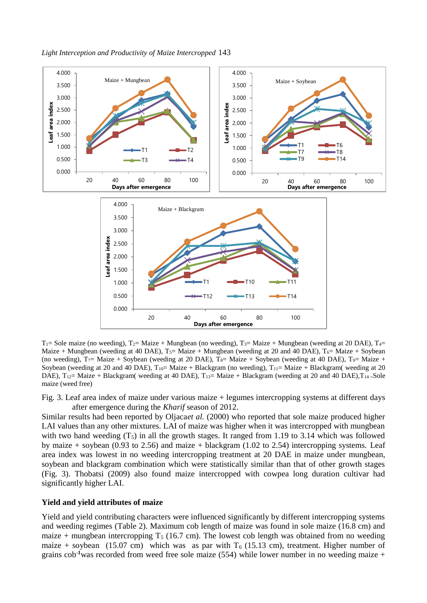

 $T_1$ = Sole maize (no weeding),  $T_2$ = Maize + Mungbean (no weeding),  $T_3$ = Maize + Mungbean (weeding at 20 DAE),  $T_4$ = Maize + Mungbean (weeding at 40 DAE),  $T_5$ = Maize + Mungbean (weeding at 20 and 40 DAE),  $T_6$ = Maize + Soybean (no weeding),  $T_7$ = Maize + Soybean (weeding at 20 DAE),  $T_8$ = Maize + Soybean (weeding at 40 DAE),  $T_9$ = Maize + Soybean (weeding at 20 and 40 DAE),  $T_{10}$  Maize + Blackgram (no weeding),  $T_{11}$  Maize + Blackgram( weeding at 20 DAE),  $T_{12}$  = Maize + Blackgram( weeding at 40 DAE),  $T_{13}$  = Maize + Blackgram (weeding at 20 and 40 DAE),  $T_{14}$  = Sole maize (weed free)

Fig. 3. Leaf area index of maize under various maize + legumes intercropping systems at different days after emergence during the *Kharif* season of 2012.

Similar results had been reported by Oljaca*et al.* (2000) who reported that sole maize produced higher LAI values than any other mixtures. LAI of maize was higher when it was intercropped with mungbean with two hand weeding  $(T_5)$  in all the growth stages. It ranged from 1.19 to 3.14 which was followed by maize + soybean (0.93 to 2.56) and maize + blackgram (1.02 to 2.54) intercropping systems. Leaf area index was lowest in no weeding intercropping treatment at 20 DAE in maize under mungbean, soybean and blackgram combination which were statistically similar than that of other growth stages (Fig. 3). Thobatsi (2009) also found maize intercropped with cowpea long duration cultivar had significantly higher LAI.

#### **Yield and yield attributes of maize**

Yield and yield contributing characters were influenced significantly by different intercropping systems and weeding regimes (Table 2). Maximum cob length of maize was found in sole maize (16.8 cm) and maize + mungbean intercropping  $T_5$  (16.7 cm). The lowest cob length was obtained from no weeding maize + soybean (15.07 cm) which was as par with  $T_6$  (15.13 cm), treatment. Higher number of grains cob**-1**was recorded from weed free sole maize (554) while lower number in no weeding maize +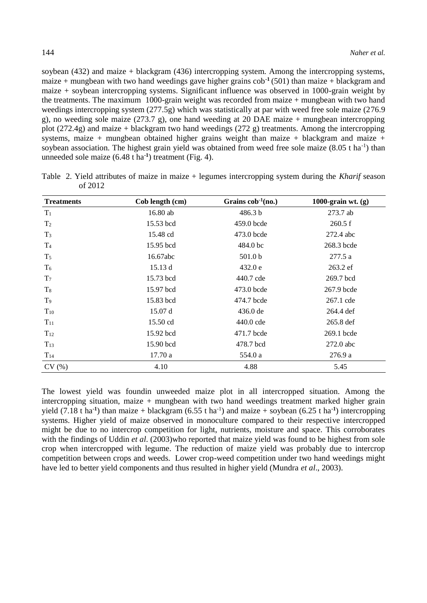soybean (432) and maize + blackgram (436) intercropping system. Among the intercropping systems, maize + mungbean with two hand weedings gave higher grains cob**-1** (501) than maize + blackgram and maize + soybean intercropping systems. Significant influence was observed in 1000-grain weight by the treatments. The maximum 1000-grain weight was recorded from maize + mungbean with two hand weedings intercropping system (277.5g) which was statistically at par with weed free sole maize (276.9 g), no weeding sole maize  $(273.7 \text{ g})$ , one hand weeding at 20 DAE maize + mungbean intercropping plot (272.4g) and maize + blackgram two hand weedings (272 g) treatments. Among the intercropping systems, maize + mungbean obtained higher grains weight than maize + blackgram and maize + soybean association. The highest grain yield was obtained from weed free sole maize  $(8.05 \text{ t} \text{ ha}^{-1})$  than unneeded sole maize (6.48 t ha**-1** ) treatment (Fig. 4).

| <b>Treatments</b> | Cob length (cm) | Grains $\cosh^{-1}(\mathbf{n}\mathbf{o})$ . | 1000-grain wt. $(g)$ |
|-------------------|-----------------|---------------------------------------------|----------------------|
| $T_1$             | 16.80 ab        | 486.3 b                                     | 273.7 ab             |
| T <sub>2</sub>    | 15.53 bcd       | 459.0 bcde                                  | 260.5 f              |
| $T_3$             | 15.48 cd        | 473.0 bcde                                  | 272.4 abc            |
| T <sub>4</sub>    | 15.95 bcd       | 484.0 bc                                    | 268.3 bcde           |
| T <sub>5</sub>    | 16.67abc        | 501.0 <sub>b</sub>                          | 277.5 a              |
| $T_6$             | 15.13d          | 432.0 e                                     | 263.2 ef             |
| T <sub>7</sub>    | 15.73 bcd       | 440.7 cde                                   | 269.7 bcd            |
| $T_8$             | 15.97 bcd       | 473.0 bcde                                  | 267.9 bcde           |
| T <sub>9</sub>    | 15.83 bcd       | 474.7 bcde                                  | 267.1 cde            |
| $T_{10}$          | 15.07d          | $436.0$ de                                  | 264.4 def            |
| $T_{11}$          | 15.50 cd        | 440.0 cde                                   | 265.8 def            |
| $T_{12}$          | 15.92 bcd       | 471.7 bcde                                  | $269.1$ bcde         |
| $T_{13}$          | 15.90 bcd       | 478.7 bcd                                   | 272.0 abc            |
| $T_{14}$          | 17.70a          | 554.0 a                                     | 276.9a               |
| CV(%)             | 4.10            | 4.88                                        | 5.45                 |

Table 2. Yield attributes of maize in maize + legumes intercropping system during the *Kharif* season of 2012

The lowest yield was foundin unweeded maize plot in all intercropped situation. Among the intercropping situation, maize  $+$  mungbean with two hand weedings treatment marked higher grain yield  $(7.18 \text{ t} \text{ ha}^1)$  than maize + blackgram  $(6.55 \text{ t} \text{ ha}^1)$  and maize + soybean  $(6.25 \text{ t} \text{ ha}^1)$  intercropping systems. Higher yield of maize observed in monoculture compared to their respective intercropped might be due to no intercrop competition for light, nutrients, moisture and space. This corroborates with the findings of Uddin *et al.* (2003)who reported that maize yield was found to be highest from sole crop when intercropped with legume. The reduction of maize yield was probably due to intercrop competition between crops and weeds. Lower crop-weed competition under two hand weedings might have led to better yield components and thus resulted in higher yield (Mundra *et al*., 2003).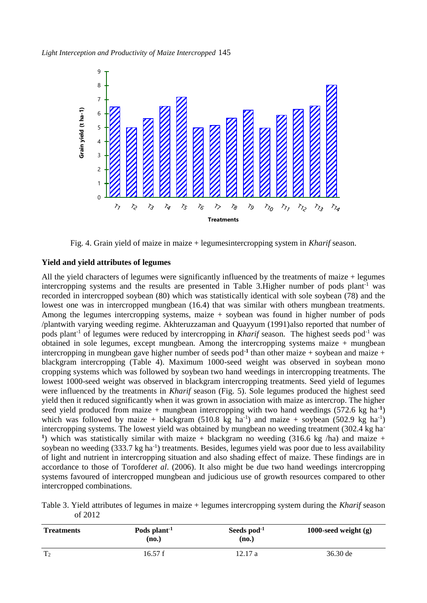

Fig. 4. Grain yield of maize in maize + legumesintercropping system in *Kharif* season.

## **Yield and yield attributes of legumes**

All the yield characters of legumes were significantly influenced by the treatments of maize + legumes intercropping systems and the results are presented in Table 3. Higher number of pods plant<sup>-1</sup> was recorded in intercropped soybean (80) which was statistically identical with sole soybean (78) and the lowest one was in intercropped mungbean (16.4) that was similar with others mungbean treatments. Among the legumes intercropping systems, maize + soybean was found in higher number of pods /plantwith varying weeding regime. Akhteruzzaman and Quayyum (1991)also reported that number of pods plant-1 of legumes were reduced by intercropping in *Kharif* season. The highest seeds pod-1 was obtained in sole legumes, except mungbean. Among the intercropping systems maize  $+$  mungbean intercropping in mungbean gave higher number of seeds pod**-1** than other maize + soybean and maize + blackgram intercropping (Table 4). Maximum 1000-seed weight was observed in soybean mono cropping systems which was followed by soybean two hand weedings in intercropping treatments. The lowest 1000-seed weight was observed in blackgram intercropping treatments. Seed yield of legumes were influenced by the treatments in *Kharif* season (Fig. 5). Sole legumes produced the highest seed yield then it reduced significantly when it was grown in association with maize as intercrop. The higher seed yield produced from maize + mungbean intercropping with two hand weedings (572.6 kg ha**-1** ) which was followed by maize + blackgram  $(510.8 \text{ kg } ha^{-1})$  and maize + soybean  $(502.9 \text{ kg } ha^{-1})$ intercropping systems. The lowest yield was obtained by mungbean no weeding treatment (302.4 kg ha**-**<sup>1</sup>) which was statistically similar with maize + blackgram no weeding  $(316.6 \text{ kg}$ /ha) and maize + soybean no weeding  $(333.7 \text{ kg ha}^{-1})$  treatments. Besides, legumes yield was poor due to less availability of light and nutrient in intercropping situation and also shading effect of maize. These findings are in accordance to those of Torofder*et al*. (2006). It also might be due two hand weedings intercropping systems favoured of intercropped mungbean and judicious use of growth resources compared to other intercropped combinations.

Table 3. Yield attributes of legumes in maize + legumes intercropping system during the *Kharif* season of 2012

| <b>Treatments</b> | Pods plant <sup>-1</sup><br>(no.) | Seeds pod <sup>-1</sup><br>(no.) | 1000-seed weight $(g)$ |
|-------------------|-----------------------------------|----------------------------------|------------------------|
| T <sub>2</sub>    | 16.57 f                           | 12.17a                           | 36.30 de               |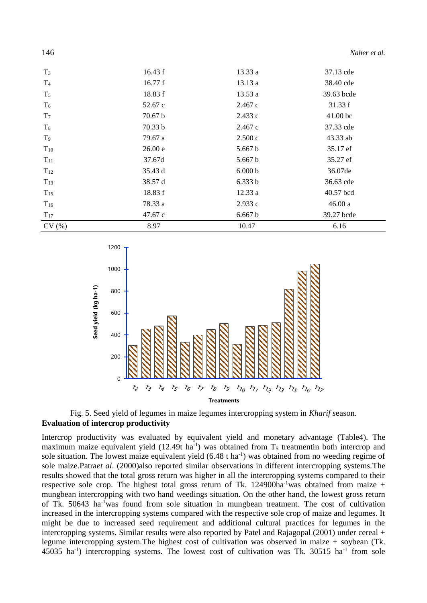| 146            |         |         | Naher et al. |
|----------------|---------|---------|--------------|
| $T_3$          | 16.43 f | 13.33 a | 37.13 cde    |
| T <sub>4</sub> | 16.77 f | 13.13a  | 38.40 cde    |
| $T_5$          | 18.83 f | 13.53 a | 39.63 bcde   |
| T <sub>6</sub> | 52.67 c | 2.467c  | 31.33 f      |
| T <sub>7</sub> | 70.67 b | 2.433c  | $41.00$ bc   |
| $T_{8}$        | 70.33 b | 2.467c  | 37.33 cde    |
| T <sub>9</sub> | 79.67 a | 2.500c  | 43.33 ab     |
| $T_{10}$       | 26.00 e | 5.667 b | 35.17 ef     |
| $T_{11}$       | 37.67d  | 5.667 b | 35.27 ef     |
| $T_{12}$       | 35.43 d | 6.000 b | 36.07de      |
| $T_{13}$       | 38.57 d | 6.333 b | 36.63 cde    |
| $T_{15}$       | 18.83 f | 12.33a  | 40.57 bcd    |
| $T_{16}$       | 78.33 a | 2.933c  | 46.00a       |
| $T_{17}$       | 47.67 c | 6.667 b | 39.27 bcde   |
| CV(%)          | 8.97    | 10.47   | 6.16         |



Fig. 5. Seed yield of legumes in maize legumes intercropping system in *Kharif s*eason. **Evaluation of intercrop productivity** 

Intercrop productivity was evaluated by equivalent yield and monetary advantage (Table4). The maximum maize equivalent yield  $(12.49t \text{ ha}^{-1})$  was obtained from  $T_5$  treatmentin both intercrop and sole situation. The lowest maize equivalent yield (6.48 t ha<sup>-1</sup>) was obtained from no weeding regime of sole maize.Patra*et al*. (2000)also reported similar observations in different intercropping systems.The results showed that the total gross return was higher in all the intercropping systems compared to their respective sole crop. The highest total gross return of Tk.  $124900ha^{-1}$ was obtained from maize + mungbean intercropping with two hand weedings situation. On the other hand, the lowest gross return of Tk. 50643 ha-1was found from sole situation in mungbean treatment. The cost of cultivation increased in the intercropping systems compared with the respective sole crop of maize and legumes. It might be due to increased seed requirement and additional cultural practices for legumes in the intercropping systems. Similar results were also reported by Patel and Rajagopal (2001) under cereal + legume intercropping system.The highest cost of cultivation was observed in maize + soybean (Tk. 45035 ha<sup>-1</sup>) intercropping systems. The lowest cost of cultivation was Tk. 30515 ha<sup>-1</sup> from sole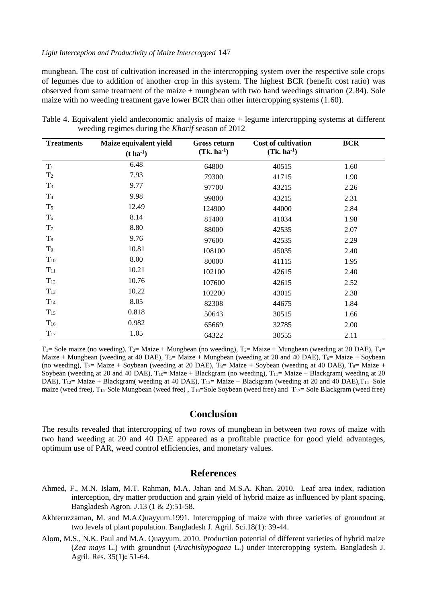#### *Light Interception and Productivity of Maize Intercropped* 147

mungbean. The cost of cultivation increased in the intercropping system over the respective sole crops of legumes due to addition of another crop in this system. The highest BCR (benefit cost ratio) was observed from same treatment of the maize + mungbean with two hand weedings situation (2.84). Sole maize with no weeding treatment gave lower BCR than other intercropping systems (1.60).

| <b>Treatments</b> | Maize equivalent yield | <b>Gross return</b> | <b>Cost of cultivation</b> | <b>BCR</b> |
|-------------------|------------------------|---------------------|----------------------------|------------|
|                   | $(t \, ha^{-1})$       | $(Tk. ha^{-1})$     | $(Tk. ha^{-1})$            |            |
| $T_1$             | 6.48                   | 64800               | 40515                      | 1.60       |
| T <sub>2</sub>    | 7.93                   | 79300               | 41715                      | 1.90       |
| $T_3$             | 9.77                   | 97700               | 43215                      | 2.26       |
| T <sub>4</sub>    | 9.98                   | 99800               | 43215                      | 2.31       |
| $T_5$             | 12.49                  | 124900              | 44000                      | 2.84       |
| $T_6$             | 8.14                   | 81400               | 41034                      | 1.98       |
| T <sub>7</sub>    | 8.80                   | 88000               | 42535                      | 2.07       |
| $T_8$             | 9.76                   | 97600               | 42535                      | 2.29       |
| T <sub>9</sub>    | 10.81                  | 108100              | 45035                      | 2.40       |
| $T_{10}$          | 8.00                   | 80000               | 41115                      | 1.95       |
| $T_{11}$          | 10.21                  | 102100              | 42615                      | 2.40       |
| $T_{12}$          | 10.76                  | 107600              | 42615                      | 2.52       |
| $T_{13}$          | 10.22                  | 102200              | 43015                      | 2.38       |
| $T_{14}$          | 8.05                   | 82308               | 44675                      | 1.84       |
| $T_{15}$          | 0.818                  | 50643               | 30515                      | 1.66       |
| $T_{16}$          | 0.982                  | 65669               | 32785                      | 2.00       |
| $T_{17}$          | 1.05                   | 64322               | 30555                      | 2.11       |

Table 4. Equivalent yield andeconomic analysis of maize + legume intercropping systems at different weeding regimes during the *Kharif* season of 2012

 $T_1$ = Sole maize (no weeding),  $T_2$ = Maize + Mungbean (no weeding),  $T_3$ = Maize + Mungbean (weeding at 20 DAE),  $T_4$ = Maize + Mungbean (weeding at 40 DAE),  $T_5$ = Maize + Mungbean (weeding at 20 and 40 DAE),  $T_6$ = Maize + Soybean (no weeding),  $T_7$ = Maize + Soybean (weeding at 20 DAE),  $T_8$ = Maize + Soybean (weeding at 40 DAE),  $T_9$ = Maize + Soybean (weeding at 20 and 40 DAE),  $T_{10}$  = Maize + Blackgram (no weeding),  $T_{11}$  = Maize + Blackgram( weeding at 20 DAE),  $T_{12}$  Maize + Blackgram( weeding at 40 DAE),  $T_{13}$  Maize + Blackgram (weeding at 20 and 40 DAE),  $T_{14}$  = Sole maize (weed free),  $T_{15}$ =Sole Mungbean (weed free),  $T_{16}$ =Sole Soybean (weed free) and  $T_{17}$ = Sole Blackgram (weed free)

# **Conclusion**

The results revealed that intercropping of two rows of mungbean in between two rows of maize with two hand weeding at 20 and 40 DAE appeared as a profitable practice for good yield advantages, optimum use of PAR, weed control efficiencies, and monetary values.

# **References**

- Ahmed, F., M.N. Islam, M.T. Rahman, M.A. Jahan and M.S.A. Khan. 2010. Leaf area index, radiation interception, dry matter production and grain yield of hybrid maize as influenced by plant spacing*.*  Bangladesh Agron*.* J.13 (1 & 2):51-58.
- Akhteruzzaman, M. and M.A.Quayyum.1991. Intercropping of maize with three varieties of groundnut at two levels of plant population. Bangladesh J. Agril. Sci.18(1): 39-44.
- Alom, M.S., N.K. Paul and M.A. Quayyum. 2010. Production potential of different varieties of hybrid maize (*Zea mays* L.) with groundnut (*Arachishypogaea* L.) under intercropping system. Bangladesh J. Agril. Res. 35(1**):** 51-64.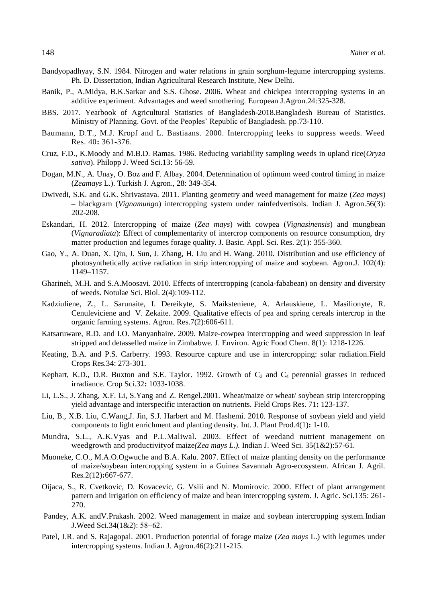- Bandyopadhyay, S.N. 1984. Nitrogen and water relations in grain sorghum-legume intercropping systems. Ph. D. Dissertation, Indian Agricultural Research Institute, New Delhi.
- Banik, P., A.Midya, B.K.Sarkar and S.S. Ghose. 2006. Wheat and chickpea intercropping systems in an additive experiment. Advantages and weed smothering. European J.Agron*.*24:325-328.
- BBS. 2017. Yearbook of Agricultural Statistics of Bangladesh-2018.Bangladesh Bureau of Statistics. Ministry of Planning. Govt. of the Peoples' Republic of Bangladesh. pp.73-110.
- Baumann, D.T., M.J. Kropf and L. Bastiaans. 2000. Intercropping leeks to suppress weeds. Weed Res. 40**:** 361-376.
- Cruz, F.D., K.Moody and M.B.D. Ramas. 1986. Reducing variability sampling weeds in upland rice(*Oryza sativa*). Philopp J. Weed Sci.13: 56-59.
- Dogan, M.N., A. Unay, O. Boz and F. Albay. 2004. Determination of optimum weed control timing in maize (*Zeamays* L.). Turkish J. Agron., 28: 349-354.
- Dwivedi, S.K. and G.K. Shrivastava. 2011. Planting geometry and weed management for maize (*Zea mays*) – blackgram (*Vignamungo*) intercropping system under rainfedvertisols*.* Indian J. Agron.56(3): 202-208.
- Eskandari, H. 2012. Intercropping of maize (*Zea mays*) with cowpea (*Vignasinensis*) and mungbean (*Vignaradiata*): Effect of complementarity of intercrop components on resource consumption, dry matter production and legumes forage quality. J. Basic. Appl. Sci. Res. 2(1): 355-360.
- Gao, Y., A. Duan, X. Qiu, J. Sun, J. Zhang, H. Liu and H. Wang. 2010. Distribution and use efficiency of photosynthetically active radiation in strip intercropping of maize and soybean. Agron.J. 102(4): 1149–1157.
- Gharineh, M.H. and S.A.Moosavi. 2010. Effects of intercropping (canola-fababean) on density and diversity of weeds. Notulae Sci. Biol. 2(4):109-112.
- Kadziuliene, Z., L. Sarunaite, I. Dereikyte, S. Maiksteniene, A. Arlauskiene, L. Masilionyte, R. Cenuleviciene and V. Zekaite. 2009. Qualitative effects of pea and spring cereals intercrop in the organic farming systems. Agron. Res.7(2):606-611.
- Katsaruware, R.D. and I.O. Manyanhaire. 2009. Maize-cowpea intercropping and weed suppression in leaf stripped and detasselled maize in Zimbabwe. J. Environ. Agric Food Chem. 8(1): 1218-1226.
- Keating, B.A. and P.S. Carberry. 1993. Resource capture and use in intercropping: solar radiation*.*Field Crops Res*.*34: 273-301.
- Kephart, K.D., D.R. Buxton and S.E. Taylor. 1992. Growth of  $C_3$  and  $C_4$  perennial grasses in reduced irradiance. Crop Sci.32**:** 1033-1038.
- Li, L.S., J. Zhang, X.F. Li, S.Yang and Z. Rengel.2001. Wheat/maize or wheat/ soybean strip intercropping yield advantage and interspecific interaction on nutrients. Field Crops Res*.* 71**:** 123-137.
- Liu, B., X.B. Liu, C.Wang,J. Jin, S.J. Harbert and M. Hashemi. 2010. Response of soybean yield and yield components to light enrichment and planting density. Int. J. Plant Prod*.*4(1)**:** 1-10.
- Mundra, S.L., A.K.Vyas and P.L.Maliwal. 2003. Effect of weedand nutrient management on weedgrowth and productivityof maize*(Zea mays L.).* Indian J. Weed Sci*.* 35(1&2):57-61.
- Muoneke, C.O., M.A.O.Ogwuche and B.A. Kalu. 2007. Effect of maize planting density on the performance of maize/soybean intercropping system in a Guinea Savannah Agro-ecosystem. African J. Agril. Res*.*2(12)**:**667-677.
- Oijaca, S., R. Cvetkovic, D. Kovacevic, G. Vsiii and N. Momirovic. 2000. Effect of plant arrangement pattern and irrigation on efficiency of maize and bean intercropping system. J. Agric. Sci*.*135: 261- 270.
- Pandey, A.K. andV.Prakash. 2002. Weed management in maize and soybean intercropping system.Indian J.Weed Sci.34(1&2): 58−62.
- Patel, J.R. and S. Rajagopal. 2001. Production potential of forage maize (*Zea mays* L.) with legumes under intercropping systems. Indian J. Agron*.*46(2):211-215.